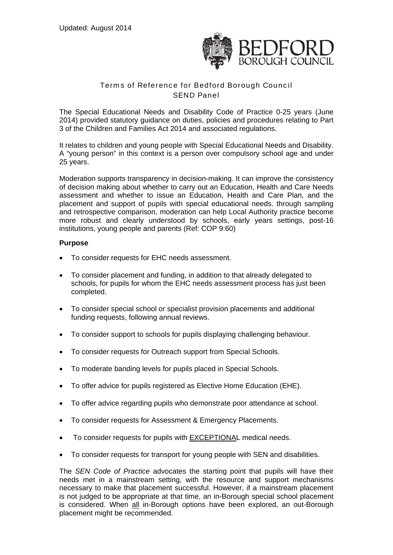

# Terms of Reference for Bedford Borough Council SEND Panel

The Special Educational Needs and Disability Code of Practice 0-25 years (June 2014) provided statutory guidance on duties, policies and procedures relating to Part 3 of the Children and Families Act 2014 and associated regulations.

It relates to children and young people with Special Educational Needs and Disability. A "young person" in this context is a person over compulsory school age and under 25 years.

Moderation supports transparency in decision-making. It can improve the consistency of decision making about whether to carry out an Education, Health and Care Needs assessment and whether to issue an Education, Health and Care Plan, and the placement and support of pupils with special educational needs. through sampling and retrospective comparison, moderation can help Local Authority practice become more robust and clearly understood by schools, early years settings, post-16 institutions, young people and parents (Ref: COP 9:60)

## **Purpose**

- To consider requests for EHC needs assessment.
- To consider placement and funding, in addition to that already delegated to schools, for pupils for whom the EHC needs assessment process has just been completed.
- To consider special school or specialist provision placements and additional funding requests, following annual reviews.
- To consider support to schools for pupils displaying challenging behaviour.
- To consider requests for Outreach support from Special Schools.
- To moderate banding levels for pupils placed in Special Schools.
- To offer advice for pupils registered as Elective Home Education (EHE).
- To offer advice regarding pupils who demonstrate poor attendance at school.
- To consider requests for Assessment & Emergency Placements.
- To consider requests for pupils with EXCEPTIONAL medical needs.
- To consider requests for transport for young people with SEN and disabilities.

The *SEN Code of Practice* advocates the starting point that pupils will have their needs met in a mainstream setting, with the resource and support mechanisms necessary to make that placement successful. However, if a mainstream placement is not judged to be appropriate at that time, an in-Borough special school placement is considered. When all in-Borough options have been explored, an out-Borough placement might be recommended.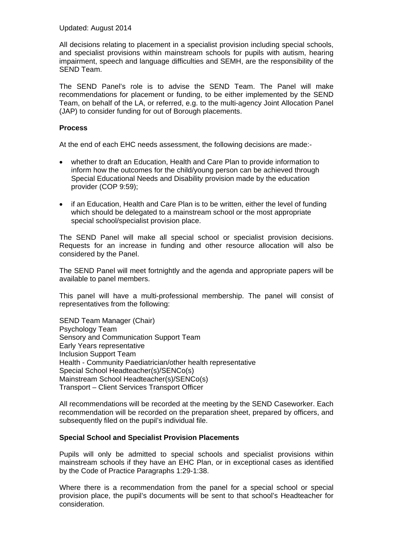Updated: August 2014

All decisions relating to placement in a specialist provision including special schools, and specialist provisions within mainstream schools for pupils with autism, hearing impairment, speech and language difficulties and SEMH, are the responsibility of the SEND Team.

The SEND Panel's role is to advise the SEND Team. The Panel will make recommendations for placement or funding, to be either implemented by the SEND Team, on behalf of the LA, or referred, e.g. to the multi-agency Joint Allocation Panel (JAP) to consider funding for out of Borough placements.

#### **Process**

At the end of each EHC needs assessment, the following decisions are made:-

- whether to draft an Education, Health and Care Plan to provide information to inform how the outcomes for the child/young person can be achieved through Special Educational Needs and Disability provision made by the education provider (COP 9:59);
- if an Education, Health and Care Plan is to be written, either the level of funding which should be delegated to a mainstream school or the most appropriate special school/specialist provision place.

The SEND Panel will make all special school or specialist provision decisions. Requests for an increase in funding and other resource allocation will also be considered by the Panel.

The SEND Panel will meet fortnightly and the agenda and appropriate papers will be available to panel members.

This panel will have a multi-professional membership. The panel will consist of representatives from the following:

SEND Team Manager (Chair) Psychology Team Sensory and Communication Support Team Early Years representative Inclusion Support Team Health - Community Paediatrician/other health representative Special School Headteacher(s)/SENCo(s) Mainstream School Headteacher(s)/SENCo(s) Transport – Client Services Transport Officer

All recommendations will be recorded at the meeting by the SEND Caseworker. Each recommendation will be recorded on the preparation sheet, prepared by officers, and subsequently filed on the pupil's individual file.

## **Special School and Specialist Provision Placements**

Pupils will only be admitted to special schools and specialist provisions within mainstream schools if they have an EHC Plan, or in exceptional cases as identified by the Code of Practice Paragraphs 1:29-1:38.

Where there is a recommendation from the panel for a special school or special provision place, the pupil's documents will be sent to that school's Headteacher for consideration.